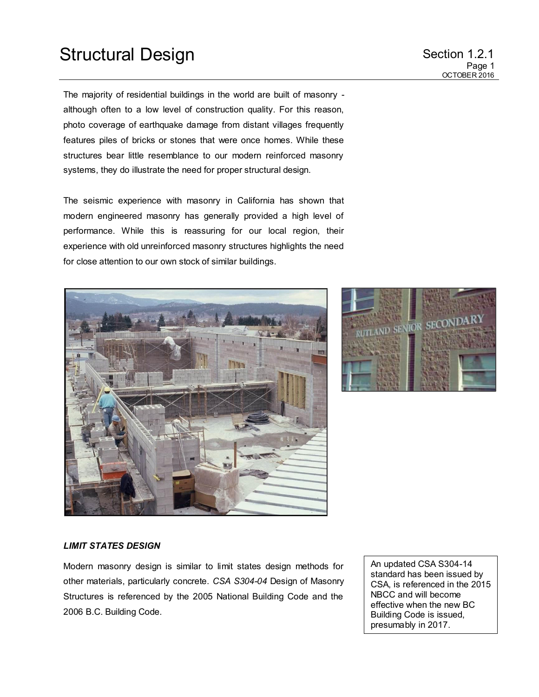The majority of residential buildings in the world are built of masonry although often to a low level of construction quality. For this reason, photo coverage of earthquake damage from distant villages frequently features piles of bricks or stones that were once homes. While these structures bear little resemblance to our modern reinforced masonry systems, they do illustrate the need for proper structural design.

The seismic experience with masonry in California has shown that modern engineered masonry has generally provided a high level of performance. While this is reassuring for our local region, their experience with old unreinforced masonry structures highlights the need for close attention to our own stock of similar buildings.





#### *LIMIT STATES DESIGN*

Modern masonry design is similar to limit states design methods for other materials, particularly concrete. *CSA S304-04* Design of Masonry Structures is referenced by the 2005 National Building Code and the 2006 B.C. Building Code.

An updated CSA S304-14 standard has been issued by CSA, is referenced in the 2015 NBCC and will become effective when the new BC Building Code is issued, presumably in 2017.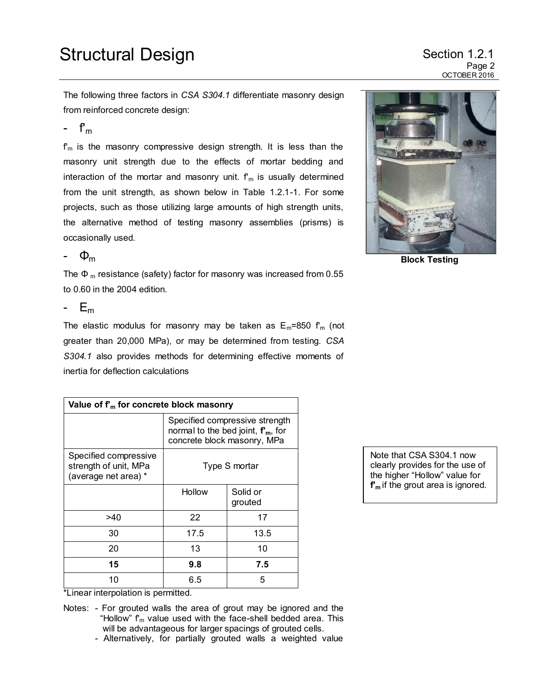## Structural Design Structural Design

Page 2 OCTOBER 2016

The following three factors in *CSA S304.1* differentiate masonry design from reinforced concrete design:

-  $f_m$ 

 $f_m$  is the masonry compressive design strength. It is less than the masonry unit strength due to the effects of mortar bedding and interaction of the mortar and masonry unit.  $f_m$  is usually determined from the unit strength, as shown below in Table 1.2.1-1. For some projects, such as those utilizing large amounts of high strength units, the alternative method of testing masonry assemblies (prisms) is occasionally used.



The  $\Phi$ <sub>m</sub> resistance (safety) factor for masonry was increased from 0.55 to 0.60 in the 2004 edition.

- E<sup>m</sup>

The elastic modulus for masonry may be taken as  $E_m$ =850  $f_m$  (not greater than 20,000 MPa), or may be determined from testing. *CSA S304.1* also provides methods for determining effective moments of inertia for deflection calculations

| Value of $f_m$ for concrete block masonry                              |                                                                                                      |                     |  |  |  |
|------------------------------------------------------------------------|------------------------------------------------------------------------------------------------------|---------------------|--|--|--|
|                                                                        | Specified compressive strength<br>normal to the bed joint, $fm$ , for<br>concrete block masonry, MPa |                     |  |  |  |
| Specified compressive<br>strength of unit, MPa<br>(average net area) * | Type S mortar                                                                                        |                     |  |  |  |
|                                                                        | Hollow                                                                                               | Solid or<br>grouted |  |  |  |
| >40                                                                    | 22                                                                                                   | 17                  |  |  |  |
| 30                                                                     | 17.5                                                                                                 | 13.5                |  |  |  |
| 20                                                                     | 13                                                                                                   | 10                  |  |  |  |
| 15                                                                     | 9.8                                                                                                  | 7.5                 |  |  |  |
| 10<br>. .<br>. .<br>                                                   | 6.5<br>.                                                                                             | 5                   |  |  |  |



**Block Testing**

Note that CSA S304.1 now clearly provides for the use of the higher "Hollow" value for **f'm** if the grout area is ignored.

\*Linear interpolation is permitted.

Notes: - For grouted walls the area of grout may be ignored and the "Hollow"  $f_m$  value used with the face-shell bedded area. This will be advantageous for larger spacings of grouted cells.

- Alternatively, for partially grouted walls a weighted value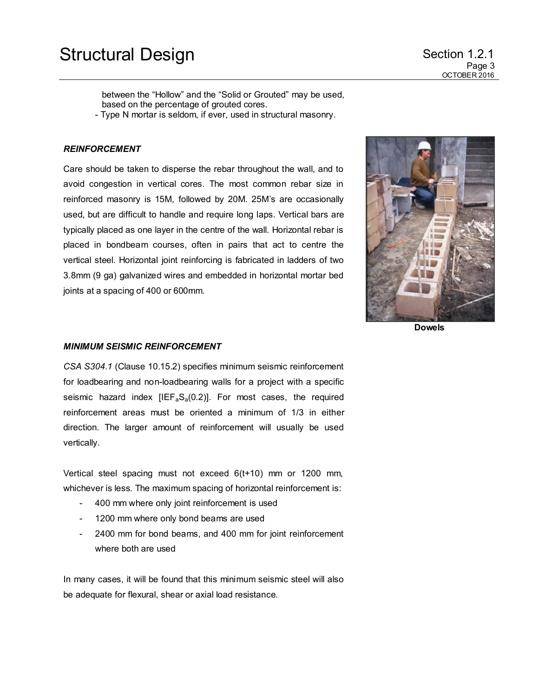between the "Hollow" and the "Solid or Grouted" may be used, based on the percentage of grouted cores.

- Type N mortar is seldom, if ever, used in structural masonry.

#### *REINFORCEMENT*

Care should be taken to disperse the rebar throughout the wall, and to avoid congestion in vertical cores. The most common rebar size in reinforced masonry is 15M, followed by 20M. 25M's are occasionally used, but are difficult to handle and require long laps. Vertical bars are typically placed as one layer in the centre of the wall. Horizontal rebar is placed in bondbeam courses, often in pairs that act to centre the vertical steel. Horizontal joint reinforcing is fabricated in ladders of two 3.8mm (9 ga) galvanized wires and embedded in horizontal mortar bed joints at a spacing of 400 or 600mm.



**Dowels**

#### *MINIMUM SEISMIC REINFORCEMENT*

*CSA S304.1* (Clause 10.15.2) specifies minimum seismic reinforcement for loadbearing and non-loadbearing walls for a project with a specific seismic hazard index  $[IEF<sub>a</sub>S<sub>a</sub>(0.2)]$ . For most cases, the required reinforcement areas must be oriented a minimum of 1/3 in either direction. The larger amount of reinforcement will usually be used vertically.

Vertical steel spacing must not exceed 6(t+10) mm or 1200 mm, whichever is less. The maximum spacing of horizontal reinforcement is:

- 400 mm where only joint reinforcement is used
- 1200 mm where only bond beams are used
- 2400 mm for bond beams, and 400 mm for joint reinforcement where both are used

In many cases, it will be found that this minimum seismic steel will also be adequate for flexural, shear or axial load resistance.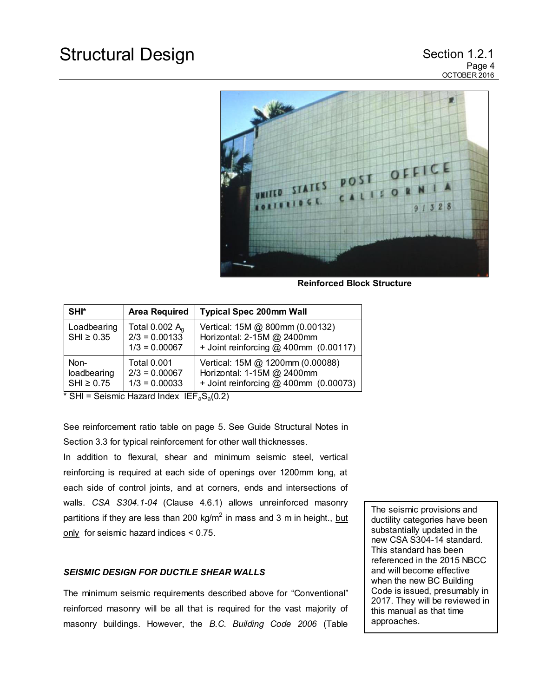

**Reinforced Block Structure**

| SHI*                                   | <b>Area Required</b>                                     | <b>Typical Spec 200mm Wall</b>                                                                           |
|----------------------------------------|----------------------------------------------------------|----------------------------------------------------------------------------------------------------------|
| Loadbearing<br>$SHI \geq 0.35$         | Total $0.002 Aa$<br>$2/3 = 0.00133$<br>$1/3 = 0.00067$   | Vertical: 15M @ 800mm (0.00132)<br>Horizontal: 2-15M @ 2400mm<br>+ Joint reinforcing $@$ 400mm (0.00117) |
| Non-<br>loadbearing<br>$SHI \geq 0.75$ | <b>Total 0.001</b><br>$2/3 = 0.00067$<br>$1/3 = 0.00033$ | Vertical: 15M @ 1200mm (0.00088)<br>Horizontal: 1-15M @ 2400mm<br>+ Joint reinforcing @ 400mm (0.00073)  |

 $\overline{\text{H}}$  SHI = Seismic Hazard Index IEF<sub>a</sub>S<sub>a</sub>(0.2)

See reinforcement ratio table on page 5. See Guide Structural Notes in Section 3.3 for typical reinforcement for other wall thicknesses.

In addition to flexural, shear and minimum seismic steel, vertical reinforcing is required at each side of openings over 1200mm long, at each side of control joints, and at corners, ends and intersections of walls. *CSA S304.1-04* (Clause 4.6.1) allows unreinforced masonry partitions if they are less than 200 kg/m $^2$  in mass and 3 m in height., <u>but</u> only for seismic hazard indices < 0.75.

## *SEISMIC DESIGN FOR DUCTILE SHEAR WALLS*

The minimum seismic requirements described above for "Conventional" reinforced masonry will be all that is required for the vast majority of masonry buildings. However, the *B.C. Building Code 2006* (Table

The seismic provisions and ductility categories have been substantially updated in the new CSA S304-14 standard. This standard has been referenced in the 2015 NBCC and will become effective when the new BC Building Code is issued, presumably in 2017. They will be reviewed in this manual as that time approaches.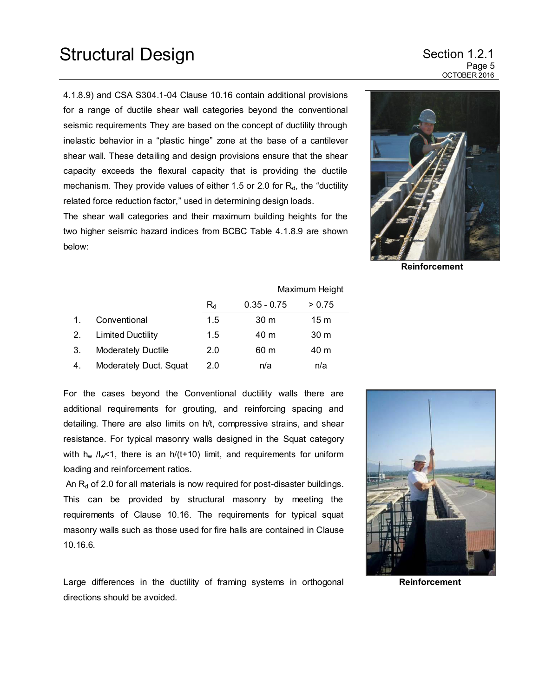4.1.8.9) and CSA S304.1-04 Clause 10.16 contain additional provisions for a range of ductile shear wall categories beyond the conventional seismic requirements They are based on the concept of ductility through inelastic behavior in a "plastic hinge" zone at the base of a cantilever shear wall. These detailing and design provisions ensure that the shear capacity exceeds the flexural capacity that is providing the ductile mechanism. They provide values of either 1.5 or 2.0 for  $R_d$ , the "ductility related force reduction factor," used in determining design loads.

The shear wall categories and their maximum building heights for the two higher seismic hazard indices from BCBC Table 4.1.8.9 are shown below:



**Reinforcement** 

|    |                           |         |                 | Maximum Height  |  |  |
|----|---------------------------|---------|-----------------|-----------------|--|--|
|    |                           | $R_{d}$ | $0.35 - 0.75$   | > 0.75          |  |  |
|    | Conventional              | 1.5     | 30 <sub>m</sub> | 15 <sub>m</sub> |  |  |
| 2. | <b>Limited Ductility</b>  | 1.5     | 40 m            | 30 <sub>m</sub> |  |  |
| З. | <b>Moderately Ductile</b> | 2.0     | 60 m            | 40 m            |  |  |
| 4. | Moderately Duct. Squat    | 2.0     | n/a             | n/a             |  |  |

For the cases beyond the Conventional ductility walls there are additional requirements for grouting, and reinforcing spacing and detailing. There are also limits on h/t, compressive strains, and shear resistance. For typical masonry walls designed in the Squat category with  $h_w / l_w$ <1, there is an  $h/(t+10)$  limit, and requirements for uniform loading and reinforcement ratios.

An  $R_d$  of 2.0 for all materials is now required for post-disaster buildings. This can be provided by structural masonry by meeting the requirements of Clause 10.16. The requirements for typical squat masonry walls such as those used for fire halls are contained in Clause 10.16.6*.*



Large differences in the ductility of framing systems in orthogonal directions should be avoided.

**Reinforcement**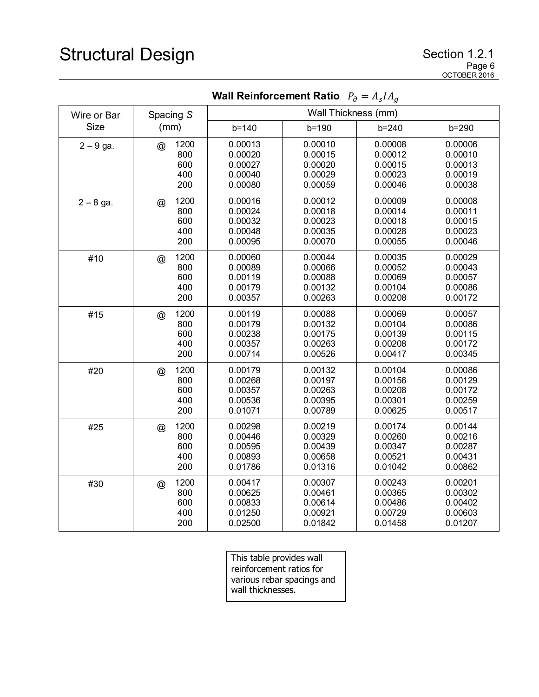# Structural Design Section 1.2.1

|             | $\cdot$ $\sigma$<br>$\ldots$ s $\ldots$ y           |                                                     |                                                     |                                                     |                                                     |  |  |  |
|-------------|-----------------------------------------------------|-----------------------------------------------------|-----------------------------------------------------|-----------------------------------------------------|-----------------------------------------------------|--|--|--|
| Wire or Bar | Spacing S                                           | Wall Thickness (mm)                                 |                                                     |                                                     |                                                     |  |  |  |
| <b>Size</b> | (mm)                                                | $b = 140$                                           | $b = 190$                                           | $b = 240$                                           | b=290                                               |  |  |  |
| $2 - 9$ ga. | 1200<br>$^{\circledR}$<br>800<br>600<br>400<br>200  | 0.00013<br>0.00020<br>0.00027<br>0.00040<br>0.00080 | 0.00010<br>0.00015<br>0.00020<br>0.00029<br>0.00059 | 0.00008<br>0.00012<br>0.00015<br>0.00023<br>0.00046 | 0.00006<br>0.00010<br>0.00013<br>0.00019<br>0.00038 |  |  |  |
| $2 - 8$ ga. | 1200<br>@<br>800<br>600<br>400<br>200               | 0.00016<br>0.00024<br>0.00032<br>0.00048<br>0.00095 | 0.00012<br>0.00018<br>0.00023<br>0.00035<br>0.00070 | 0.00009<br>0.00014<br>0.00018<br>0.00028<br>0.00055 | 0.00008<br>0.00011<br>0.00015<br>0.00023<br>0.00046 |  |  |  |
| #10         | 1200<br>@<br>800<br>600<br>400<br>200               | 0.00060<br>0.00089<br>0.00119<br>0.00179<br>0.00357 | 0.00044<br>0.00066<br>0.00088<br>0.00132<br>0.00263 | 0.00035<br>0.00052<br>0.00069<br>0.00104<br>0.00208 | 0.00029<br>0.00043<br>0.00057<br>0.00086<br>0.00172 |  |  |  |
| #15         | 1200<br>$^{\copyright}$<br>800<br>600<br>400<br>200 | 0.00119<br>0.00179<br>0.00238<br>0.00357<br>0.00714 | 0.00088<br>0.00132<br>0.00175<br>0.00263<br>0.00526 | 0.00069<br>0.00104<br>0.00139<br>0.00208<br>0.00417 | 0.00057<br>0.00086<br>0.00115<br>0.00172<br>0.00345 |  |  |  |
| #20         | 1200<br>@<br>800<br>600<br>400<br>200               | 0.00179<br>0.00268<br>0.00357<br>0.00536<br>0.01071 | 0.00132<br>0.00197<br>0.00263<br>0.00395<br>0.00789 | 0.00104<br>0.00156<br>0.00208<br>0.00301<br>0.00625 | 0.00086<br>0.00129<br>0.00172<br>0.00259<br>0.00517 |  |  |  |
| #25         | 1200<br>$\circleda$<br>800<br>600<br>400<br>200     | 0.00298<br>0.00446<br>0.00595<br>0.00893<br>0.01786 | 0.00219<br>0.00329<br>0.00439<br>0.00658<br>0.01316 | 0.00174<br>0.00260<br>0.00347<br>0.00521<br>0.01042 | 0.00144<br>0.00216<br>0.00287<br>0.00431<br>0.00862 |  |  |  |
| #30         | 1200<br>@<br>800<br>600<br>400<br>200               | 0.00417<br>0.00625<br>0.00833<br>0.01250<br>0.02500 | 0.00307<br>0.00461<br>0.00614<br>0.00921<br>0.01842 | 0.00243<br>0.00365<br>0.00486<br>0.00729<br>0.01458 | 0.00201<br>0.00302<br>0.00402<br>0.00603<br>0.01207 |  |  |  |

**Wall Reinforcement Ratio**  $\; P_{\partial} = A_{S} I A_{g} \;$ 

This table provides wall reinforcement ratios for various rebar spacings and wall thicknesses.